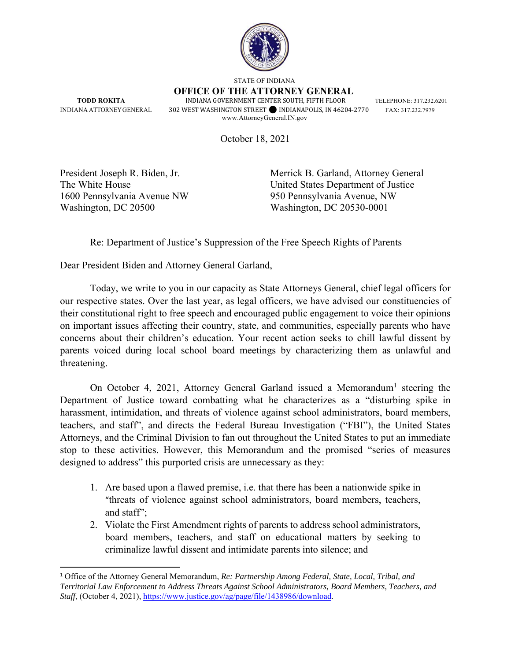

STATE OF INDIANA

**OFFICE OF THE ATTORNEY GENERAL TODD ROKITA INDIANA GOVERNMENT CENTER SOUTH, FIFTH FLOOR TELEPHONE: 317.232.6201** 

INDIANA ATTORNEY GENERAL 302 WEST WASHINGTON STREET⚫ INDIANAPOLIS, IN 46204-2770 FAX: 317.232.7979 www.AttorneyGeneral.IN.gov

October 18, 2021

1600 Pennsylvania Avenue NW 950 Pennsylvania Avenue, NW Washington, DC 20500 Washington, DC 20530-0001

President Joseph R. Biden, Jr. Merrick B. Garland, Attorney General The White House United States Department of Justice

Re: Department of Justice's Suppression of the Free Speech Rights of Parents

Dear President Biden and Attorney General Garland,

Today, we write to you in our capacity as State Attorneys General, chief legal officers for our respective states. Over the last year, as legal officers, we have advised our constituencies of their constitutional right to free speech and encouraged public engagement to voice their opinions on important issues affecting their country, state, and communities, especially parents who have concerns about their children's education. Your recent action seeks to chill lawful dissent by parents voiced during local school board meetings by characterizing them as unlawful and threatening.

On October 4, 2021, Attorney General Garland issued a Memorandum<sup>1</sup> steering the Department of Justice toward combatting what he characterizes as a "disturbing spike in harassment, intimidation, and threats of violence against school administrators, board members, teachers, and staff", and directs the Federal Bureau Investigation ("FBI"), the United States Attorneys, and the Criminal Division to fan out throughout the United States to put an immediate stop to these activities. However, this Memorandum and the promised "series of measures designed to address" this purported crisis are unnecessary as they:

- 1. Are based upon a flawed premise, i.e. that there has been a nationwide spike in "threats of violence against school administrators, board members, teachers, and staff";
- 2. Violate the First Amendment rights of parents to address school administrators, board members, teachers, and staff on educational matters by seeking to criminalize lawful dissent and intimidate parents into silence; and

<sup>1</sup> Office of the Attorney General Memorandum, *Re: Partnership Among Federal, State, Local, Tribal, and Territorial Law Enforcement to Address Threats Against School Administrators, Board Members, Teachers, and Staff*, (October 4, 2021), https://www.justice.gov/ag/page/file/1438986/download.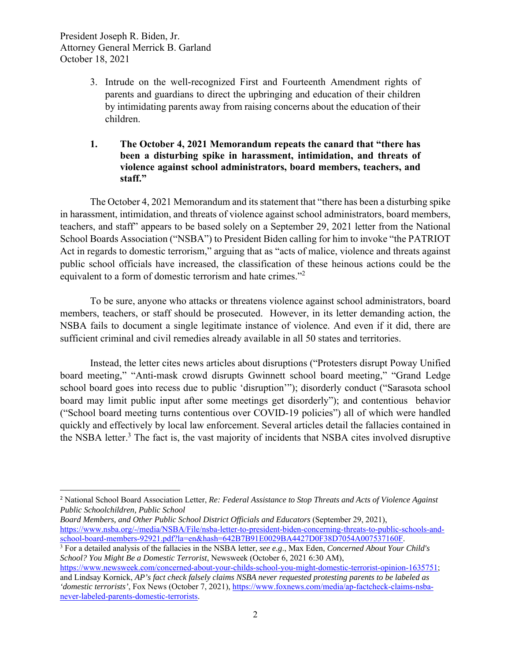- 3. Intrude on the well-recognized First and Fourteenth Amendment rights of parents and guardians to direct the upbringing and education of their children by intimidating parents away from raising concerns about the education of their children.
- **1. The October 4, 2021 Memorandum repeats the canard that "there has been a disturbing spike in harassment, intimidation, and threats of violence against school administrators, board members, teachers, and staff."**

The October 4, 2021 Memorandum and its statement that "there has been a disturbing spike in harassment, intimidation, and threats of violence against school administrators, board members, teachers, and staff" appears to be based solely on a September 29, 2021 letter from the National School Boards Association ("NSBA") to President Biden calling for him to invoke "the PATRIOT Act in regards to domestic terrorism," arguing that as "acts of malice, violence and threats against public school officials have increased, the classification of these heinous actions could be the equivalent to a form of domestic terrorism and hate crimes."<sup>2</sup>

To be sure, anyone who attacks or threatens violence against school administrators, board members, teachers, or staff should be prosecuted. However, in its letter demanding action, the NSBA fails to document a single legitimate instance of violence. And even if it did, there are sufficient criminal and civil remedies already available in all 50 states and territories.

Instead, the letter cites news articles about disruptions ("Protesters disrupt Poway Unified board meeting," "Anti-mask crowd disrupts Gwinnett school board meeting," "Grand Ledge school board goes into recess due to public 'disruption'"); disorderly conduct ("Sarasota school board may limit public input after some meetings get disorderly"); and contentious behavior ("School board meeting turns contentious over COVID-19 policies") all of which were handled quickly and effectively by local law enforcement. Several articles detail the fallacies contained in the NSBA letter.<sup>3</sup> The fact is, the vast majority of incidents that NSBA cites involved disruptive

*Board Members, and Other Public School District Officials and Educators* (September 29, 2021), https://www.nsba.org/-/media/NSBA/File/nsba-letter-to-president-biden-concerning-threats-to-public-schools-andschool-board-members-92921.pdf?la=en&hash=642B7B91E0029BA4427D0F38D7054A007537160F. 3

<sup>2</sup> National School Board Association Letter, *Re: Federal Assistance to Stop Threats and Acts of Violence Against Public Schoolchildren, Public School* 

For a detailed analysis of the fallacies in the NSBA letter, *see e.g*., Max Eden, *Concerned About Your Child's School? You Might Be a Domestic Terrorist*, Newsweek (October 6, 2021 6:30 AM),

https://www.newsweek.com/concerned-about-your-childs-school-you-might-domestic-terrorist-opinion-1635751; and Lindsay Kornick, *AP's fact check falsely claims NSBA never requested protesting parents to be labeled as 'domestic terrorists'*, Fox News (October 7, 2021), https://www.foxnews.com/media/ap-factcheck-claims-nsbanever-labeled-parents-domestic-terrorists.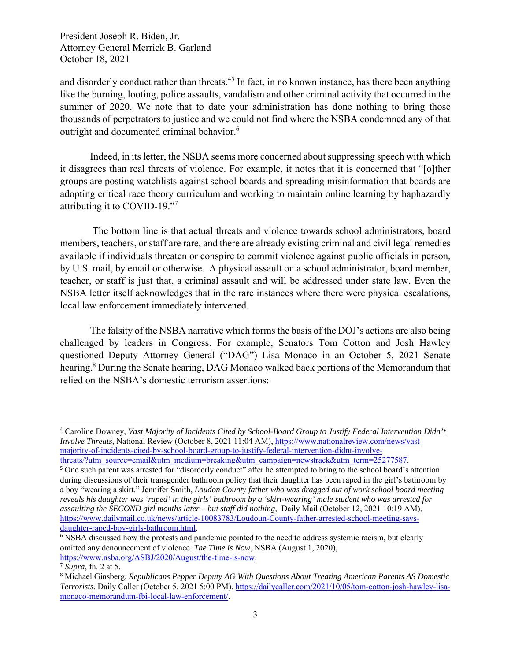and disorderly conduct rather than threats.<sup>45</sup> In fact, in no known instance, has there been anything like the burning, looting, police assaults, vandalism and other criminal activity that occurred in the summer of 2020. We note that to date your administration has done nothing to bring those thousands of perpetrators to justice and we could not find where the NSBA condemned any of that outright and documented criminal behavior.<sup>6</sup>

Indeed, in its letter, the NSBA seems more concerned about suppressing speech with which it disagrees than real threats of violence. For example, it notes that it is concerned that "[o]ther groups are posting watchlists against school boards and spreading misinformation that boards are adopting critical race theory curriculum and working to maintain online learning by haphazardly attributing it to COVID-19."7

 The bottom line is that actual threats and violence towards school administrators, board members, teachers, or staff are rare, and there are already existing criminal and civil legal remedies available if individuals threaten or conspire to commit violence against public officials in person, by U.S. mail, by email or otherwise. A physical assault on a school administrator, board member, teacher, or staff is just that, a criminal assault and will be addressed under state law. Even the NSBA letter itself acknowledges that in the rare instances where there were physical escalations, local law enforcement immediately intervened.

The falsity of the NSBA narrative which forms the basis of the DOJ's actions are also being challenged by leaders in Congress. For example, Senators Tom Cotton and Josh Hawley questioned Deputy Attorney General ("DAG") Lisa Monaco in an October 5, 2021 Senate hearing.<sup>8</sup> During the Senate hearing, DAG Monaco walked back portions of the Memorandum that relied on the NSBA's domestic terrorism assertions:

4 Caroline Downey, *Vast Majority of Incidents Cited by School-Board Group to Justify Federal Intervention Didn't Involve Threats*, National Review (October 8, 2021 11:04 AM), https://www.nationalreview.com/news/vastmajority-of-incidents-cited-by-school-board-group-to-justify-federal-intervention-didnt-involvethreats/?utm\_source=email&utm\_medium=breaking&utm\_campaign=newstrack&utm\_term=25277587.

<sup>5</sup> One such parent was arrested for "disorderly conduct" after he attempted to bring to the school board's attention during discussions of their transgender bathroom policy that their daughter has been raped in the girl's bathroom by a boy "wearing a skirt." Jennifer Smith, *Loudon County father who was dragged out of work school board meeting reveals his daughter was 'raped' in the girls' bathroom by a 'skirt-wearing' male student who was arrested for assaulting the SECOND girl months later – but staff did nothing*, Daily Mail (October 12, 2021 10:19 AM), https://www.dailymail.co.uk/news/article-10083783/Loudoun-County-father-arrested-school-meeting-saysdaughter-raped-boy-girls-bathroom.html.

<sup>6</sup> NSBA discussed how the protests and pandemic pointed to the need to address systemic racism, but clearly omitted any denouncement of violence. *The Time is Now*, NSBA (August 1, 2020), https://www.nsba.org/ASBJ/2020/August/the-time-is-now. 7 *Supra*, fn. 2 at 5.

<sup>8</sup> Michael Ginsberg, *Republicans Pepper Deputy AG With Questions About Treating American Parents AS Domestic Terrorists*, Daily Caller (October 5, 2021 5:00 PM), https://dailycaller.com/2021/10/05/tom-cotton-josh-hawley-lisamonaco-memorandum-fbi-local-law-enforcement/.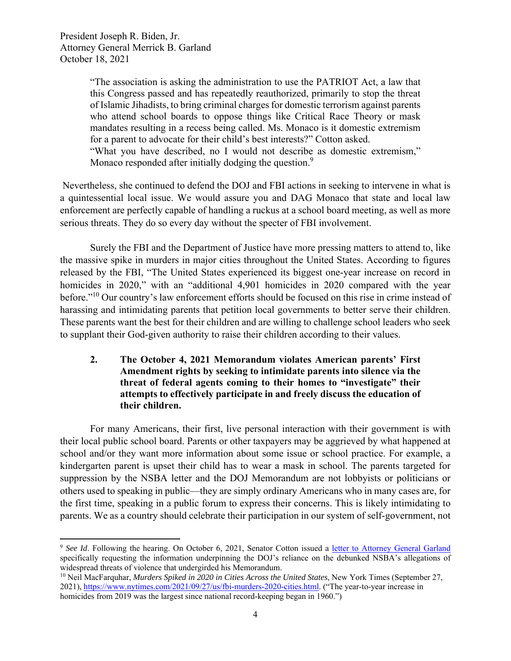> "The association is asking the administration to use the PATRIOT Act, a law that this Congress passed and has repeatedly reauthorized, primarily to stop the threat of Islamic Jihadists, to bring criminal charges for domestic terrorism against parents who attend school boards to oppose things like Critical Race Theory or mask mandates resulting in a recess being called. Ms. Monaco is it domestic extremism for a parent to advocate for their child's best interests?" Cotton asked. "What you have described, no I would not describe as domestic extremism," Monaco responded after initially dodging the question.<sup>9</sup>

 Nevertheless, she continued to defend the DOJ and FBI actions in seeking to intervene in what is a quintessential local issue. We would assure you and DAG Monaco that state and local law enforcement are perfectly capable of handling a ruckus at a school board meeting, as well as more serious threats. They do so every day without the specter of FBI involvement.

Surely the FBI and the Department of Justice have more pressing matters to attend to, like the massive spike in murders in major cities throughout the United States. According to figures released by the FBI, "The United States experienced its biggest one-year increase on record in homicides in 2020," with an "additional 4,901 homicides in 2020 compared with the year before."10 Our country's law enforcement efforts should be focused on this rise in crime instead of harassing and intimidating parents that petition local governments to better serve their children. These parents want the best for their children and are willing to challenge school leaders who seek to supplant their God-given authority to raise their children according to their values.

## **2. The October 4, 2021 Memorandum violates American parents' First Amendment rights by seeking to intimidate parents into silence via the threat of federal agents coming to their homes to "investigate" their attempts to effectively participate in and freely discuss the education of their children.**

For many Americans, their first, live personal interaction with their government is with their local public school board. Parents or other taxpayers may be aggrieved by what happened at school and/or they want more information about some issue or school practice. For example, a kindergarten parent is upset their child has to wear a mask in school. The parents targeted for suppression by the NSBA letter and the DOJ Memorandum are not lobbyists or politicians or others used to speaking in public—they are simply ordinary Americans who in many cases are, for the first time, speaking in a public forum to express their concerns. This is likely intimidating to parents. We as a country should celebrate their participation in our system of self-government, not

<sup>9</sup> *See Id*. Following the hearing. On October 6, 2021, Senator Cotton issued a letter to Attorney General Garland specifically requesting the information underpinning the DOJ's reliance on the debunked NSBA's allegations of widespread threats of violence that undergirded his Memorandum.<br><sup>10</sup> Neil MacFarquhar, *Murders Spiked in 2020 in Cities Across the United States*, New York Times (September 27,

<sup>2021),</sup> https://www.nytimes.com/2021/09/27/us/fbi-murders-2020-cities.html. ("The year-to-year increase in homicides from 2019 was the largest since national record-keeping began in 1960.")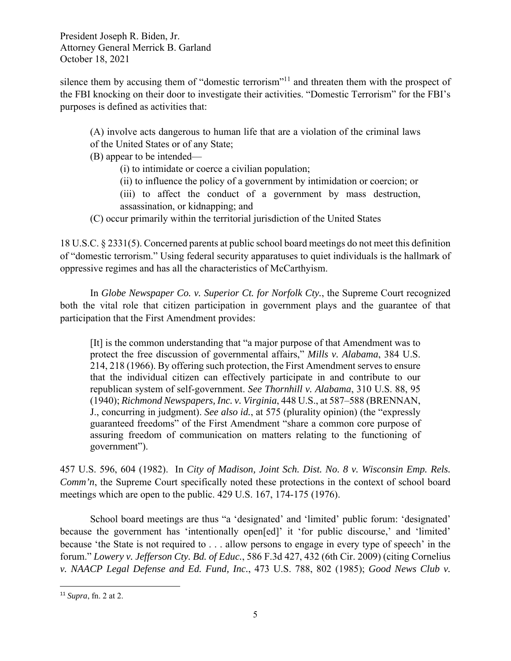silence them by accusing them of "domestic terrorism"<sup>11</sup> and threaten them with the prospect of the FBI knocking on their door to investigate their activities. "Domestic Terrorism" for the FBI's purposes is defined as activities that:

(A) involve acts dangerous to human life that are a violation of the criminal laws of the United States or of any State;

(B) appear to be intended—

(i) to intimidate or coerce a civilian population;

(ii) to influence the policy of a government by intimidation or coercion; or

(iii) to affect the conduct of a government by mass destruction, assassination, or kidnapping; and

(C) occur primarily within the territorial jurisdiction of the United States

18 U.S.C. § 2331(5). Concerned parents at public school board meetings do not meet this definition of "domestic terrorism." Using federal security apparatuses to quiet individuals is the hallmark of oppressive regimes and has all the characteristics of McCarthyism.

In *Globe Newspaper Co. v. Superior Ct. for Norfolk Cty.*, the Supreme Court recognized both the vital role that citizen participation in government plays and the guarantee of that participation that the First Amendment provides:

[It] is the common understanding that "a major purpose of that Amendment was to protect the free discussion of governmental affairs," *Mills v. Alabama*, 384 U.S. 214, 218 (1966). By offering such protection, the First Amendment serves to ensure that the individual citizen can effectively participate in and contribute to our republican system of self-government. *See Thornhill v. Alabama*, 310 U.S. 88, 95 (1940); *Richmond Newspapers, Inc. v. Virginia*, 448 U.S., at 587–588 (BRENNAN, J., concurring in judgment). *See also id.*, at 575 (plurality opinion) (the "expressly guaranteed freedoms" of the First Amendment "share a common core purpose of assuring freedom of communication on matters relating to the functioning of government").

457 U.S. 596, 604 (1982). In *City of Madison, Joint Sch. Dist. No. 8 v. Wisconsin Emp. Rels. Comm'n*, the Supreme Court specifically noted these protections in the context of school board meetings which are open to the public. 429 U.S. 167, 174-175 (1976).

School board meetings are thus "a 'designated' and 'limited' public forum: 'designated' because the government has 'intentionally open[ed]' it 'for public discourse,' and 'limited' because 'the State is not required to . . . allow persons to engage in every type of speech' in the forum." *Lowery v. Jefferson Cty. Bd. of Educ.*, 586 F.3d 427, 432 (6th Cir. 2009) (citing Cornelius *v. NAACP Legal Defense and Ed. Fund, Inc.*, 473 U.S. 788, 802 (1985); *Good News Club v.* 

<sup>11</sup> *Supra*, fn. 2 at 2.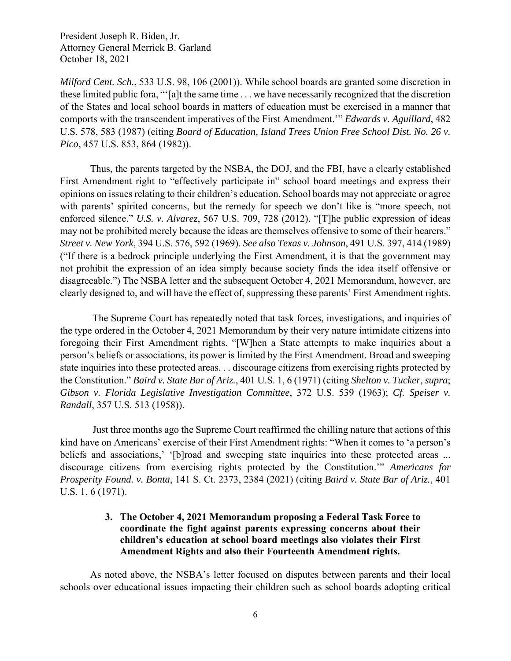*Milford Cent. Sch.*, 533 U.S. 98, 106 (2001)). While school boards are granted some discretion in these limited public fora, "'[a]t the same time . . . we have necessarily recognized that the discretion of the States and local school boards in matters of education must be exercised in a manner that comports with the transcendent imperatives of the First Amendment.'" *Edwards v. Aguillard*, 482 U.S. 578, 583 (1987) (citing *Board of Education, Island Trees Union Free School Dist. No. 26 v. Pico*, 457 U.S. 853, 864 (1982)).

Thus, the parents targeted by the NSBA, the DOJ, and the FBI, have a clearly established First Amendment right to "effectively participate in" school board meetings and express their opinions on issues relating to their children's education. School boards may not appreciate or agree with parents' spirited concerns, but the remedy for speech we don't like is "more speech, not enforced silence." *U.S. v. Alvarez*, 567 U.S. 709, 728 (2012). "[T]he public expression of ideas may not be prohibited merely because the ideas are themselves offensive to some of their hearers." *Street v. New York*, 394 U.S. 576, 592 (1969). *See also Texas v. Johnson*, 491 U.S. 397, 414 (1989) ("If there is a bedrock principle underlying the First Amendment, it is that the government may not prohibit the expression of an idea simply because society finds the idea itself offensive or disagreeable.") The NSBA letter and the subsequent October 4, 2021 Memorandum, however, are clearly designed to, and will have the effect of, suppressing these parents' First Amendment rights.

 The Supreme Court has repeatedly noted that task forces, investigations, and inquiries of the type ordered in the October 4, 2021 Memorandum by their very nature intimidate citizens into foregoing their First Amendment rights. "[W]hen a State attempts to make inquiries about a person's beliefs or associations, its power is limited by the First Amendment. Broad and sweeping state inquiries into these protected areas. . . discourage citizens from exercising rights protected by the Constitution." *Baird v. State Bar of Ariz.*, 401 U.S. 1, 6 (1971) (citing *Shelton v. Tucker*, *supra*; *Gibson v. Florida Legislative Investigation Committee*, 372 U.S. 539 (1963); *Cf. Speiser v. Randall*, 357 U.S. 513 (1958)).

 Just three months ago the Supreme Court reaffirmed the chilling nature that actions of this kind have on Americans' exercise of their First Amendment rights: "When it comes to 'a person's beliefs and associations,' '[b]road and sweeping state inquiries into these protected areas ... discourage citizens from exercising rights protected by the Constitution.'" *Americans for Prosperity Found. v. Bonta*, 141 S. Ct. 2373, 2384 (2021) (citing *Baird v. State Bar of Ariz.*, 401 U.S. 1, 6 (1971).

## **3. The October 4, 2021 Memorandum proposing a Federal Task Force to coordinate the fight against parents expressing concerns about their children's education at school board meetings also violates their First Amendment Rights and also their Fourteenth Amendment rights.**

As noted above, the NSBA's letter focused on disputes between parents and their local schools over educational issues impacting their children such as school boards adopting critical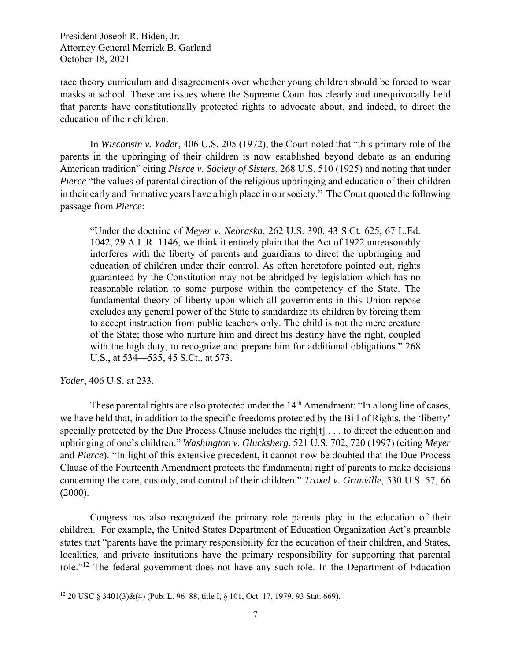race theory curriculum and disagreements over whether young children should be forced to wear masks at school. These are issues where the Supreme Court has clearly and unequivocally held that parents have constitutionally protected rights to advocate about, and indeed, to direct the education of their children.

In *Wisconsin v. Yoder*, 406 U.S. 205 (1972), the Court noted that "this primary role of the parents in the upbringing of their children is now established beyond debate as an enduring American tradition" citing *Pierce v. Society of Sisters*, 268 U.S. 510 (1925) and noting that under *Pierce* "the values of parental direction of the religious upbringing and education of their children in their early and formative years have a high place in our society." The Court quoted the following passage from *Pierce*:

"Under the doctrine of *Meyer v. Nebraska*, 262 U.S. 390, 43 S.Ct. 625, 67 L.Ed. 1042, 29 A.L.R. 1146, we think it entirely plain that the Act of 1922 unreasonably interferes with the liberty of parents and guardians to direct the upbringing and education of children under their control. As often heretofore pointed out, rights guaranteed by the Constitution may not be abridged by legislation which has no reasonable relation to some purpose within the competency of the State. The fundamental theory of liberty upon which all governments in this Union repose excludes any general power of the State to standardize its children by forcing them to accept instruction from public teachers only. The child is not the mere creature of the State; those who nurture him and direct his destiny have the right, coupled with the high duty, to recognize and prepare him for additional obligations." 268 U.S., at 534—535, 45 S.Ct., at 573.

*Yoder*, 406 U.S. at 233.

These parental rights are also protected under the 14<sup>th</sup> Amendment: "In a long line of cases, we have held that, in addition to the specific freedoms protected by the Bill of Rights, the 'liberty' specially protected by the Due Process Clause includes the righ[t] . . . to direct the education and upbringing of one's children." *Washington v. Glucksberg*, 521 U.S. 702, 720 (1997) (citing *Meyer* and *Pierce*). "In light of this extensive precedent, it cannot now be doubted that the Due Process Clause of the Fourteenth Amendment protects the fundamental right of parents to make decisions concerning the care, custody, and control of their children." *Troxel v. Granville*, 530 U.S. 57, 66  $(2000).$ 

Congress has also recognized the primary role parents play in the education of their children. For example, the United States Department of Education Organization Act's preamble states that "parents have the primary responsibility for the education of their children, and States, localities, and private institutions have the primary responsibility for supporting that parental role."12 The federal government does not have any such role. In the Department of Education

<sup>12 20</sup> USC § 3401(3)&(4) (Pub. L. 96–88, title I, § 101, Oct. 17, 1979, 93 Stat. 669).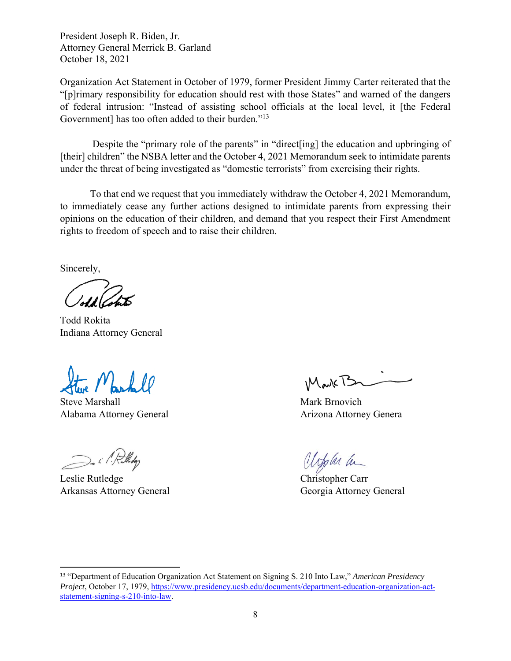Organization Act Statement in October of 1979, former President Jimmy Carter reiterated that the "[p]rimary responsibility for education should rest with those States" and warned of the dangers of federal intrusion: "Instead of assisting school officials at the local level, it [the Federal Government] has too often added to their burden."<sup>13</sup>

Despite the "primary role of the parents" in "direct [ing] the education and upbringing of [their] children" the NSBA letter and the October 4, 2021 Memorandum seek to intimidate parents under the threat of being investigated as "domestic terrorists" from exercising their rights.

To that end we request that you immediately withdraw the October 4, 2021 Memorandum, to immediately cease any further actions designed to intimidate parents from expressing their opinions on the education of their children, and demand that you respect their First Amendment rights to freedom of speech and to raise their children.

Sincerely,

Todd Rokita Indiana Attorney General

Steve Marshall Mark Brnovich Alabama Attorney General Arizona Attorney Genera

De i l'Rulleday

Leslie Rutledge Christopher Carr Arkansas Attorney General Georgia Attorney General

MarkTS

appler an

<sup>13</sup> "Department of Education Organization Act Statement on Signing S. 210 Into Law," *American Presidency Project*, October 17, 1979, https://www.presidency.ucsb.edu/documents/department-education-organization-actstatement-signing-s-210-into-law.